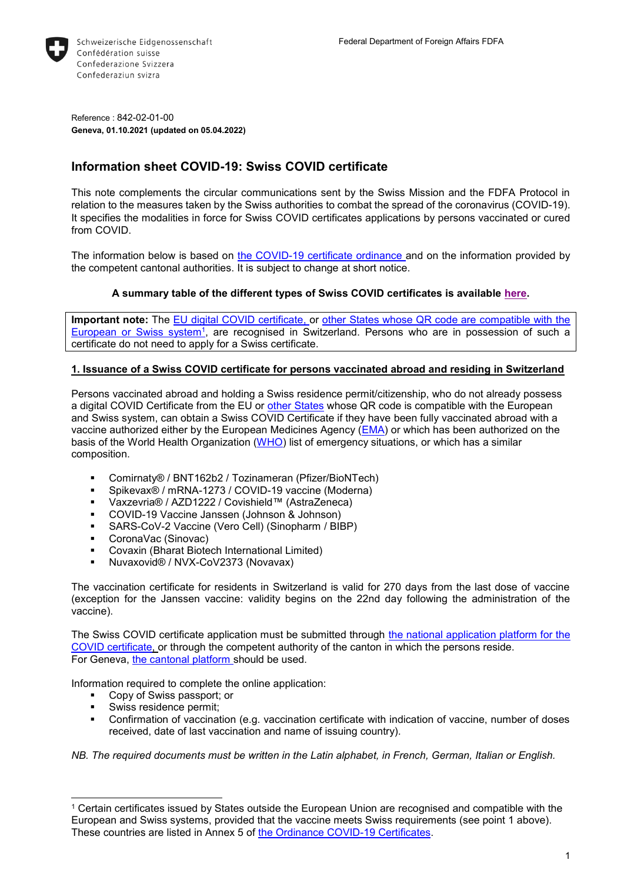

Reference : 842-02-01-00 **Geneva, 01.10.2021 (updated on 05.04.2022)**

# **Information sheet COVID-19: Swiss COVID certificate**

This note complements the circular communications sent by the Swiss Mission and the FDFA Protocol in relation to the measures taken by the Swiss authorities to combat the spread of the coronavirus (COVID-19). It specifies the modalities in force for Swiss COVID certificates applications by persons vaccinated or cured from COVID.

The information below is based on [the COVID-19 c](https://www.fedlex.admin.ch/eli/cc/2021/325/fr)ertificate [ordinance a](https://www.fedlex.admin.ch/eli/cc/2021/325/fr)nd on the information provided by the competent cantonal authorities. It is subject to change at short notice.

# **A summary table of the different types of Swiss COVID certificates is available [here.](https://www.bag.admin.ch/bag/en/home/krankheiten/ausbrueche-epidemien-pandemien/aktuelle-ausbrueche-epidemien/novel-cov/covid-zertifikat/covid-zertifikat-erhalt-gueltigkeit.html)**

**Important note:** The [EU digital COVID certificate,](https://ec.europa.eu/info/live-work-travel-eu/coronavirus-response/safe-covid-19-vaccines-europeans/eu-digital-covid-certificate_en) or [other States whose QR code are](https://www.fedlex.admin.ch/eli/cc/2021/325/fr#annex_5/lvl_d1347e75/lvl_2) compatible with the European or [Swiss system](https://www.fedlex.admin.ch/eli/cc/2021/325/fr#annex_5/lvl_d1347e75/lvl_2)<sup>1</sup>, are recognised in Switzerland. Persons who are in possession of such a certificate do not need to apply for a Swiss certificate.

## **1. Issuance of a Swiss COVID certificate for persons vaccinated abroad and residing in Switzerland**

Persons vaccinated abroad and holding a Swiss residence permit/citizenship, who do not already possess a digital COVID Certificate from the EU or [other States](https://www.fedlex.admin.ch/eli/cc/2021/325/fr#annex_5/lvl_d1347e75/lvl_2) whose QR code is compatible with the European and Swiss system, can obtain a Swiss COVID Certificate if they have been fully vaccinated abroad with a vaccine authorized either by the European Medicines Agency [\(EMA\)](https://www.ema.europa.eu/en/human-regulatory/overview/public-health-threats/coronavirus-disease-covid-19/treatments-vaccines/covid-19-vaccines) or which has been authorized on the basis of the World Health Organization [\(WHO\)](https://extranet.who.int/pqweb/sites/default/files/documents/Status_COVID_VAX_11Nov2021.pdf) list of emergency situations, or which has a similar composition.

- Comirnaty® / BNT162b2 / Tozinameran (Pfizer/BioNTech)
- Spikevax<sup>®</sup> / mRNA-1273 / COVID-19 vaccine (Moderna)
- Vaxzevria® / AZD1222 / Covishield™ (AstraZeneca)
- COVID-19 Vaccine Janssen (Johnson & Johnson)
- SARS-CoV-2 Vaccine (Vero Cell) (Sinopharm / BIBP)
- CoronaVac (Sinovac)
- Covaxin (Bharat Biotech International Limited)
- Nuvaxovid® / NVX-CoV2373 (Novavax)

The vaccination certificate for residents in Switzerland is valid for 270 days from the last dose of vaccine (exception for the Janssen vaccine: validity begins on the 22nd day following the administration of the vaccine).

The Swiss COVID certificate application must be submitted through [the national application platform for the](https://www.covidcertificate-form.admin.ch/foreign)  [COVID certificate,](https://www.covidcertificate-form.admin.ch/foreign) or through the competent authority of the canton in which the persons reside. For Geneva, [the cantonal platform s](https://smc02.hug.ch/surveys/?s=WA39AEN9T3CYMK9W)hould be used.

Information required to complete the online application:

- Copy of Swiss passport; or
- Swiss residence permit;

l

 Confirmation of vaccination (e.g. vaccination certificate with indication of vaccine, number of doses received, date of last vaccination and name of issuing country).

*NB. The required documents must be written in the Latin alphabet, in French, German, Italian or English.*

<sup>&</sup>lt;sup>1</sup> Certain certificates issued by States outside the European Union are recognised and compatible with the European and Swiss systems, provided that the vaccine meets Swiss requirements (see point 1 above). These countries are listed in Annex 5 of [the Ordinance COVID-19 Certificates.](https://www.fedlex.admin.ch/eli/cc/2021/325/fr#annex_5/lvl_d1347e75/lvl_1)